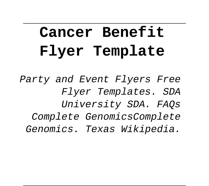# **Cancer Benefit Flyer Template**

Party and Event Flyers Free Flyer Templates. SDA University SDA. FAQs Complete GenomicsComplete Genomics. Texas Wikipedia.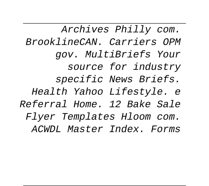Archives Philly com. BrooklineCAN. Carriers OPM gov. MultiBriefs Your source for industry specific News Briefs. Health Yahoo Lifestyle. e Referral Home. 12 Bake Sale Flyer Templates Hloom com. ACWDL Master Index. Forms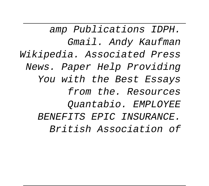amp Publications IDPH. Gmail. Andy Kaufman Wikipedia. Associated Press News. Paper Help Providing You with the Best Essays from the. Resources Quantabio. EMPLOYEE BENEFITS EPIC INSURANCE. British Association of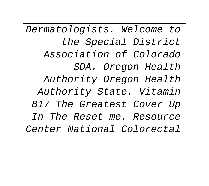Dermatologists. Welcome to the Special District Association of Colorado SDA. Oregon Health Authority Oregon Health Authority State. Vitamin B17 The Greatest Cover Up In The Reset me. Resource Center National Colorectal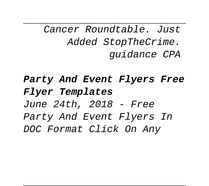Cancer Roundtable. Just Added StopTheCrime. guidance CPA

**Party And Event Flyers Free Flyer Templates** June 24th, 2018 - Free Party And Event Flyers In DOC Format Click On Any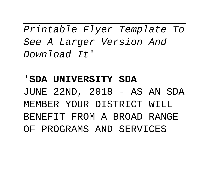Printable Flyer Template To See A Larger Version And Download It'

'**SDA UNIVERSITY SDA** JUNE 22ND, 2018 - AS AN SDA MEMBER YOUR DISTRICT WILL BENEFIT FROM A BROAD RANGE OF PROGRAMS AND SERVICES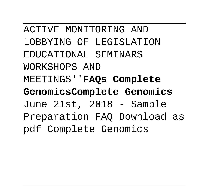ACTIVE MONITORING AND LOBBYING OF LEGISLATION EDUCATIONAL SEMINARS WORKSHOPS AND MEETINGS''**FAQs Complete GenomicsComplete Genomics** June 21st, 2018 - Sample Preparation FAQ Download as pdf Complete Genomics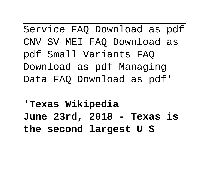Service FAQ Download as pdf CNV SV MEI FAQ Download as pdf Small Variants FAQ Download as pdf Managing Data FAQ Download as pdf'

'**Texas Wikipedia June 23rd, 2018 - Texas is the second largest U S**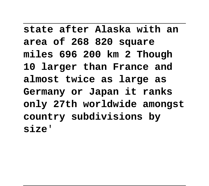**state after Alaska with an area of 268 820 square miles 696 200 km 2 Though 10 larger than France and almost twice as large as Germany or Japan it ranks only 27th worldwide amongst country subdivisions by size**'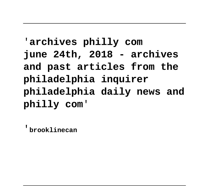# '**archives philly com june 24th, 2018 - archives and past articles from the philadelphia inquirer philadelphia daily news and philly com**'

'**brooklinecan**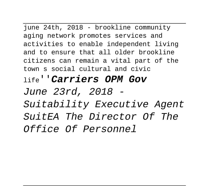june 24th, 2018 - brookline community aging network promotes services and activities to enable independent living and to ensure that all older brookline citizens can remain a vital part of the town s social cultural and civic life''**Carriers OPM Gov** June 23rd, 2018 - Suitability Executive Agent SuitEA The Director Of The Office Of Personnel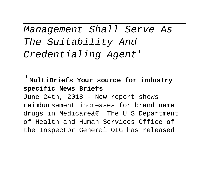Management Shall Serve As The Suitability And Credentialing Agent'

'**MultiBriefs Your source for industry specific News Briefs** June 24th, 2018 - New report shows reimbursement increases for brand name drugs in Medicare $\hat{a} \in \$  The U S Department of Health and Human Services Office of the Inspector General OIG has released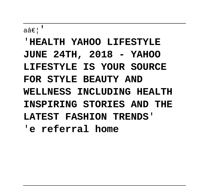a… '

# '**HEALTH YAHOO LIFESTYLE JUNE 24TH, 2018 - YAHOO LIFESTYLE IS YOUR SOURCE FOR STYLE BEAUTY AND WELLNESS INCLUDING HEALTH INSPIRING STORIES AND THE LATEST FASHION TRENDS**' '**e referral home**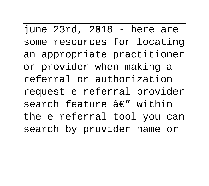june 23rd, 2018 - here are some resources for locating an appropriate practitioner or provider when making a referral or authorization request e referral provider search feature  $A \in \mathbb{R}^n$  within the e referral tool you can search by provider name or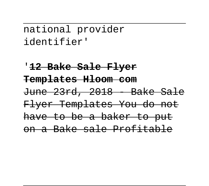national provider identifier'

'**12 Bake Sale Flyer Templates Hloom com** June 23rd, 2018 - Bake Sale Flyer Templates You do not have to be a baker to put on a Bake sale Profitable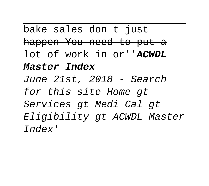bake sales don t just happen You need to put a lot of work in or''**ACWDL**

#### **Master Index**

June 21st, 2018 - Search for this site Home gt Services gt Medi Cal gt Eligibility gt ACWDL Master Index'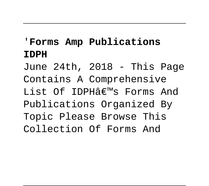# '**Forms Amp Publications IDPH**

June 24th, 2018 - This Page Contains A Comprehensive List Of IDPH $\hat{A}\in\mathbb{M}$ s Forms And Publications Organized By Topic Please Browse This Collection Of Forms And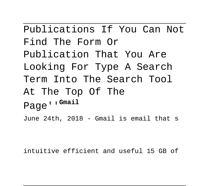Publications If You Can Not Find The Form Or Publication That You Are Looking For Type A Search Term Into The Search Tool At The Top Of The Page''**Gmail** June 24th, 2018 - Gmail is email that s

intuitive efficient and useful 15 GB of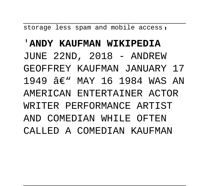storage less spam and mobile access.

#### '**ANDY KAUFMAN WIKIPEDIA**

JUNE 22ND, 2018 - ANDREW

- GEOFFREY KAUFMAN JANUARY 17
- 1949  $\hat{\mathcal{A}} \in \mathbb{N}$  MAY 16 1984 WAS AN
- AMERICAN ENTERTAINER ACTOR
- WRITER PERFORMANCE ARTIST
- AND COMEDIAN WHILE OFTEN
- CALLED A COMEDIAN KAUFMAN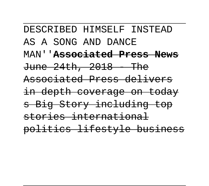DESCRIBED HIMSELF INSTEAD AS A SONG AND DANCE MAN''**Associated Press News**  $June$   $24th$ ,  $2018$  - The Associated Press delivers in depth coverage on today s Big Story including top stories international politics lifestyle business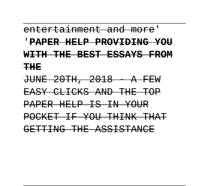#### entertainment and more'

#### '**PAPER HELP PROVIDING YOU**

#### **WITH THE BEST ESSAYS FROM**

**THE**

JUNE 20TH, 2018 - A FEW EASY CLICKS AND THE TOP PAPER HELP IS IN YOUR POCKET IF YOU THINK THAT GETTING THE ASSISTANCE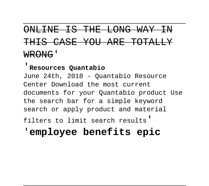# ONLINE IS THE LONG WAY IN THIS CASE YOU ARE TOTALLY WRONG'

#### '**Resources Quantabio**

June 24th, 2018 - Quantabio Resource Center Download the most current documents for your Quantabio product Use the search bar for a simple keyword search or apply product and material

filters to limit search results'

### '**employee benefits epic**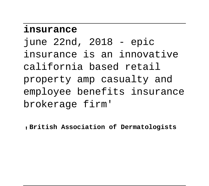### **insurance**

june 22nd, 2018 - epic insurance is an innovative california based retail property amp casualty and employee benefits insurance brokerage firm'

'**British Association of Dermatologists**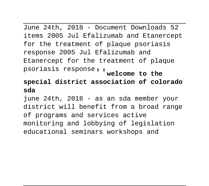June 24th, 2018 - Document Downloads 52 items 2005 Jul Efalizumab and Etanercept for the treatment of plaque psoriasis response 2005 Jul Efalizumab and Etanercept for the treatment of plaque psoriasis response''**welcome to the**

#### **special district association of colorado sda**

june 24th, 2018 - as an sda member your district will benefit from a broad range of programs and services active monitoring and lobbying of legislation educational seminars workshops and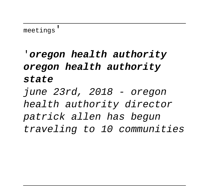'**oregon health authority oregon health authority state**

june 23rd, 2018 - oregon health authority director patrick allen has begun traveling to 10 communities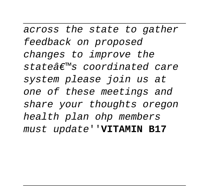across the state to gather feedback on proposed changes to improve the state@f™s coordinated care system please join us at one of these meetings and share your thoughts oregon health plan ohp members must update''**VITAMIN B17**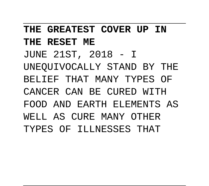**THE GREATEST COVER UP IN THE RESET ME** JUNE 21ST, 2018 - I UNEQUIVOCALLY STAND BY THE BELIEF THAT MANY TYPES OF CANCER CAN BE CURED WITH FOOD AND EARTH ELEMENTS AS WELL AS CURE MANY OTHER TYPES OF ILLNESSES THAT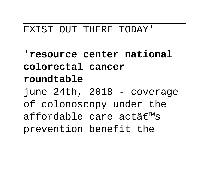#### EXIST OUT THERE TODAY'

'**resource center national colorectal cancer roundtable** june 24th, 2018 - coverage of colonoscopy under the affordable care act $\hat{a}\in\mathbb{M}$ s prevention benefit the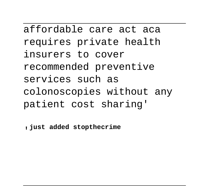affordable care act aca requires private health insurers to cover recommended preventive services such as colonoscopies without any patient cost sharing'

'**just added stopthecrime**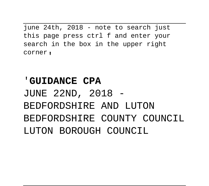june 24th, 2018 - note to search just this page press ctrl f and enter your search in the box in the upper right corner,

# '**GUIDANCE CPA** JUNE 22ND, 2018 - BEDFORDSHIRE AND LUTON BEDFORDSHIRE COUNTY COUNCIL LUTON BOROUGH COUNCIL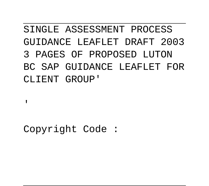# SINGLE ASSESSMENT PROCESS GUIDANCE LEAFLET DRAFT 2003 3 PAGES OF PROPOSED LUTON BC SAP GUIDANCE LEAFLET FOR CLIENT GROUP'

'

Copyright Code :